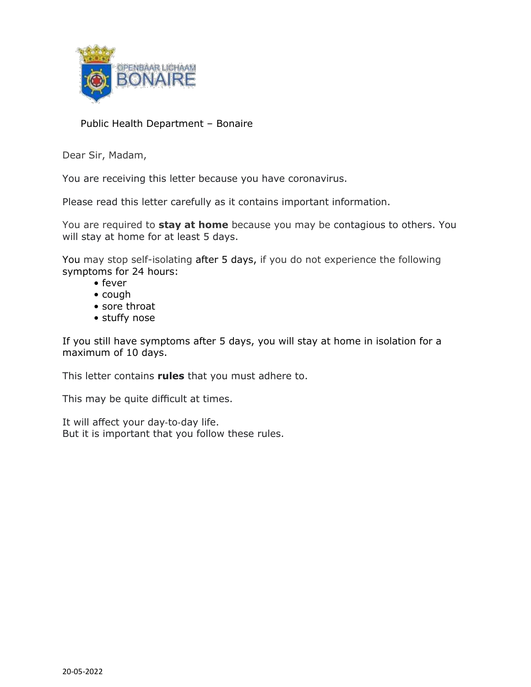

#### Public Health Department – Bonaire

Dear Sir, Madam,

You are receiving this letter because you have coronavirus.

Please read this letter carefully as it contains important information.

You are required to **stay at home** because you may be contagious to others. You will stay at home for at least 5 days.

You may stop self-isolating after 5 days, if you do not experience the following symptoms for 24 hours:

- fever
- cough
- sore throat
- stuffy nose

If you still have symptoms after 5 days, you will stay at home in isolation for a maximum of 10 days.

This letter contains **rules** that you must adhere to.

This may be quite difficult at times.

It will affect your day-to-day life. But it is important that you follow these rules.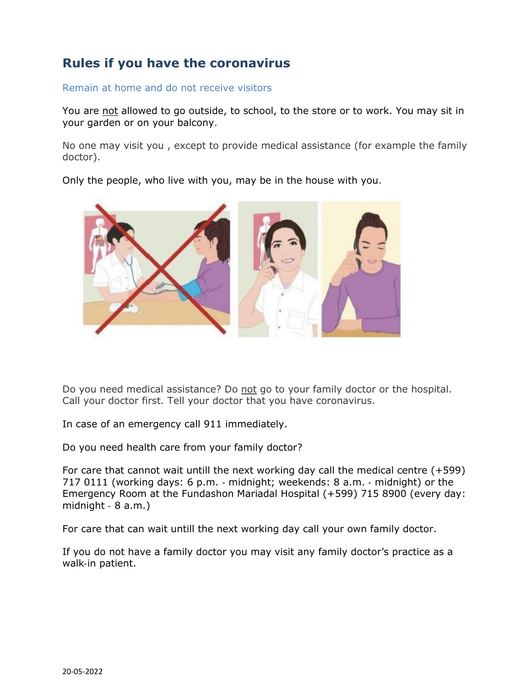# **Rules if you have the coronavirus**

Remain at home and do not receive visitors

You are not allowed to go outside, to school, to the store or to work. You may sit in your garden or on your balcony.

No one may visit you , except to provide medical assistance (for example the family doctor).

Only the people, who live with you, may be in the house with you.



Do you need medical assistance? Do not go to your family doctor or the hospital. Call your doctor first. Tell your doctor that you have coronavirus.

In case of an emergency call 911 immediately.

Do you need health care from your family doctor?

For care that cannot wait untill the next working day call the medical centre (+599) 717 0111 (working days: 6 p.m. ‐ midnight; weekends: 8 a.m. ‐ midnight) or the Emergency Room at the Fundashon Mariadal Hospital (+599) 715 8900 (every day: midnight ‐ 8 a.m.)

For care that can wait untill the next working day call your own family doctor.

If you do not have a family doctor you may visit any family doctor's practice as a walk‐in patient.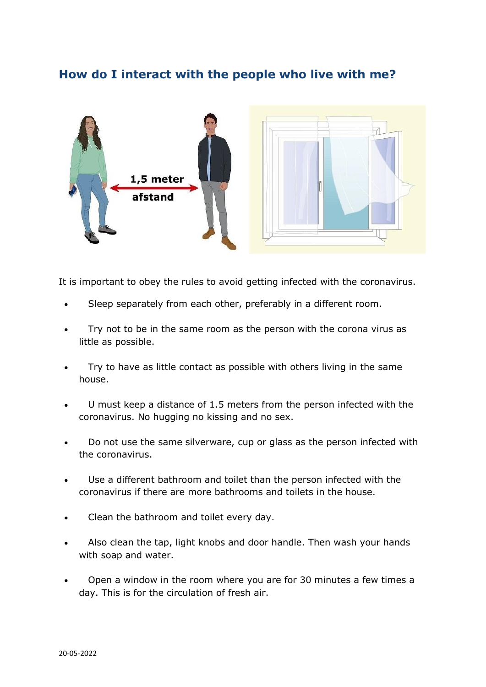# **How do I interact with the people who live with me?**



It is important to obey the rules to avoid getting infected with the coronavirus.

- Sleep separately from each other, preferably in a different room.
- Try not to be in the same room as the person with the corona virus as little as possible.
- Try to have as little contact as possible with others living in the same house.
- U must keep a distance of 1.5 meters from the person infected with the coronavirus. No hugging no kissing and no sex.
- Do not use the same silverware, cup or glass as the person infected with the coronavirus.
- Use a different bathroom and toilet than the person infected with the coronavirus if there are more bathrooms and toilets in the house.
- Clean the bathroom and toilet every day.
- Also clean the tap, light knobs and door handle. Then wash your hands with soap and water.
- Open a window in the room where you are for 30 minutes a few times a day. This is for the circulation of fresh air.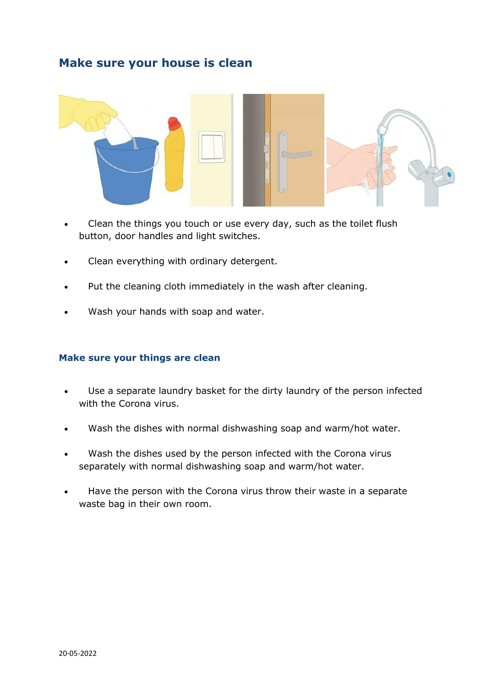## **Make sure your house is clean**



- Clean the things you touch or use every day, such as the toilet flush button, door handles and light switches.
- Clean everything with ordinary detergent.
- Put the cleaning cloth immediately in the wash after cleaning.
- Wash your hands with soap and water.

#### **Make sure your things are clean**

- Use a separate laundry basket for the dirty laundry of the person infected with the Corona virus.
- Wash the dishes with normal dishwashing soap and warm/hot water.
- Wash the dishes used by the person infected with the Corona virus separately with normal dishwashing soap and warm/hot water.
- Have the person with the Corona virus throw their waste in a separate waste bag in their own room.